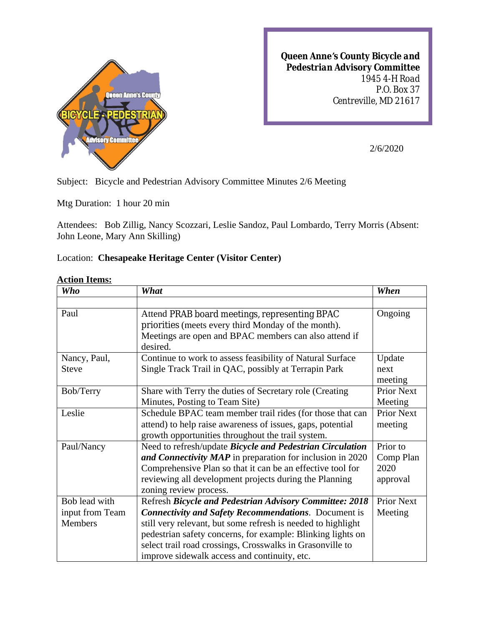

*Queen Anne's County Bicycle and Pedestrian Advisory Committee 1945 4-H Road P.O. Box 37 Centreville, MD 21617*

2/6/2020

Subject: Bicycle and Pedestrian Advisory Committee Minutes 2/6 Meeting

Mtg Duration: 1 hour 20 min

Attendees: Bob Zillig, Nancy Scozzari, Leslie Sandoz, Paul Lombardo, Terry Morris (Absent: John Leone, Mary Ann Skilling)

## Location: **Chesapeake Heritage Center (Visitor Center)**

|  | <b>Action Items:</b> |
|--|----------------------|
|  |                      |

| <b>Who</b>      | What                                                         | When              |
|-----------------|--------------------------------------------------------------|-------------------|
|                 |                                                              |                   |
| Paul            | Attend PRAB board meetings, representing BPAC                | Ongoing           |
|                 | priorities (meets every third Monday of the month).          |                   |
|                 | Meetings are open and BPAC members can also attend if        |                   |
|                 | desired.                                                     |                   |
| Nancy, Paul,    | Continue to work to assess feasibility of Natural Surface    | Update            |
| <b>Steve</b>    | Single Track Trail in QAC, possibly at Terrapin Park         | next              |
|                 |                                                              | meeting           |
| Bob/Terry       | Share with Terry the duties of Secretary role (Creating)     | <b>Prior Next</b> |
|                 | Minutes, Posting to Team Site)                               | Meeting           |
| Leslie          | Schedule BPAC team member trail rides (for those that can    | <b>Prior Next</b> |
|                 | attend) to help raise awareness of issues, gaps, potential   | meeting           |
|                 | growth opportunities throughout the trail system.            |                   |
| Paul/Nancy      | Need to refresh/update Bicycle and Pedestrian Circulation    |                   |
|                 | and Connectivity MAP in preparation for inclusion in 2020    | Comp Plan         |
|                 | Comprehensive Plan so that it can be an effective tool for   | 2020              |
|                 | reviewing all development projects during the Planning       | approval          |
|                 | zoning review process.                                       |                   |
| Bob lead with   | Refresh Bicycle and Pedestrian Advisory Committee: 2018      |                   |
| input from Team | <b>Connectivity and Safety Recommendations.</b> Document is  | Meeting           |
| Members         | still very relevant, but some refresh is needed to highlight |                   |
|                 | pedestrian safety concerns, for example: Blinking lights on  |                   |
|                 | select trail road crossings, Crosswalks in Grasonville to    |                   |
|                 | improve sidewalk access and continuity, etc.                 |                   |